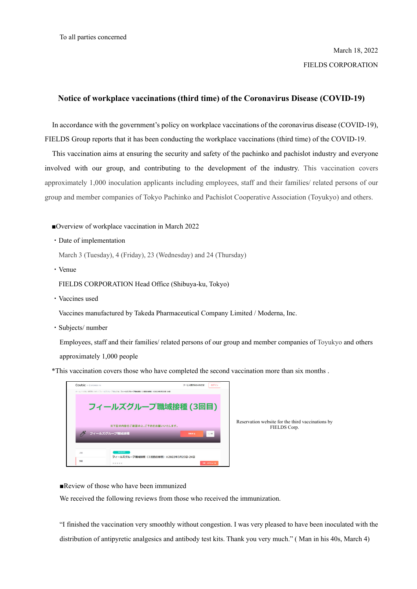## **Notice of workplace vaccinations (third time) of the Coronavirus Disease (COVID-19)**

In accordance with the government's policy on workplace vaccinations of the coronavirus disease (COVID-19), FIELDS Group reports that it has been conducting the workplace vaccinations (third time) of the COVID-19.

This vaccination aims at ensuring the security and safety of the pachinko and pachislot industry and everyone involved with our group, and contributing to the development of the industry. This vaccination covers approximately 1,000 inoculation applicants including employees, staff and their families/ related persons of our group and member companies of Tokyo Pachinko and Pachislot Cooperative Association (Toyukyo) and others.

## ■Overview of workplace vaccination in March 2022

・Date of implementation

March 3 (Tuesday), 4 (Friday), 23 (Wednesday) and 24 (Thursday)

・Venue

FIELDS CORPORATION Head Office (Shibuya-ku, Tokyo)

・Vaccines used

Vaccines manufactured by Takeda Pharmaceutical Company Limited / Moderna, Inc.

・Subjects/ number

Employees, staff and their families/ related persons of our group and member companies of Toyukyo and others approximately 1,000 people

\*This vaccination covers those who have completed the second vaccination more than six months .



Reservation website for the third vaccinations by FIELDS Corp.

■Review of those who have been immunized

We received the following reviews from those who received the immunization.

"I finished the vaccination very smoothly without congestion. I was very pleased to have been inoculated with the distribution of antipyretic analgesics and antibody test kits. Thank you very much." ( Man in his 40s, March 4)